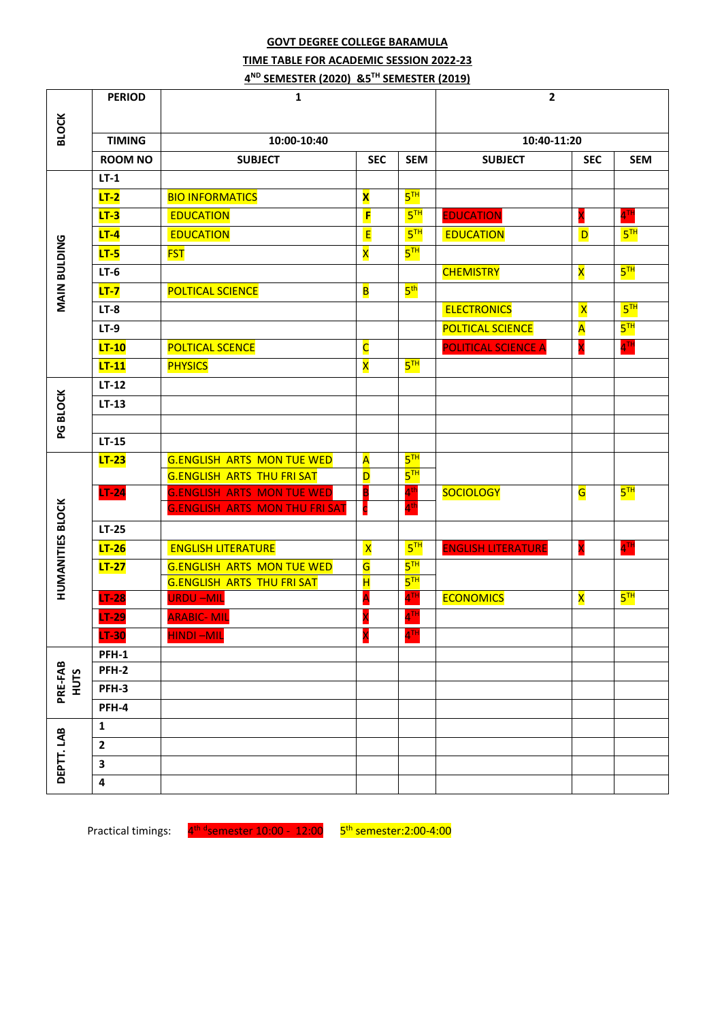### **GOVT DEGREE COLLEGE BARAMULA TIME TABLE FOR ACADEMIC SESSION 2022-23 4 ND SEMESTER (2020) &5 TH SEMESTER (2019)**

|                         | <b>PERIOD</b>  | 1                                          | $\overline{2}$          |                                    |                           |                         |                   |
|-------------------------|----------------|--------------------------------------------|-------------------------|------------------------------------|---------------------------|-------------------------|-------------------|
|                         |                |                                            |                         |                                    |                           |                         |                   |
| <b>BLOCK</b>            | <b>TIMING</b>  | 10:00-10:40                                |                         |                                    | 10:40-11:20               |                         |                   |
|                         | <b>ROOM NO</b> | <b>SUBJECT</b><br><b>SEC</b><br><b>SEM</b> |                         | <b>SUBJECT</b><br><b>SEC</b>       |                           | <b>SEM</b>              |                   |
|                         | $LT-1$         |                                            |                         |                                    |                           |                         |                   |
|                         | $LT-2$         | <b>BIO INFORMATICS</b>                     | $\overline{\mathbf{x}}$ | 5 <sup>TH</sup>                    |                           |                         |                   |
|                         | $LT-3$         | <b>EDUCATION</b>                           | F                       | 5 <sup>TH</sup>                    | <b>EDUCATION</b>          | X                       | 4 <sup>TH</sup>   |
|                         | $LT-4$         | <b>EDUCATION</b>                           | E                       | 5 <sup>TH</sup>                    | <b>EDUCATION</b>          | D                       | 5 <sup>TH</sup>   |
| <b>MAIN BULDING</b>     | $LT-5$         | <b>FST</b>                                 | X                       | $5^{\text{TH}}$                    |                           |                         |                   |
|                         | $LT-6$         |                                            |                         |                                    | <b>CHEMISTRY</b>          | $\overline{\mathbf{x}}$ | 5 <sup>TH</sup>   |
|                         | $LT-7$         | <b>POLTICAL SCIENCE</b>                    | $\overline{\mathbf{B}}$ | 5 <sup>th</sup>                    |                           |                         |                   |
|                         | $LT-8$         |                                            |                         |                                    | <b>ELECTRONICS</b>        | $\overline{\mathsf{X}}$ | 5 <sup>TH</sup>   |
|                         |                |                                            |                         |                                    |                           |                         | 5 <sup>TH</sup>   |
|                         | $LT-9$         |                                            |                         |                                    | <b>POLTICAL SCIENCE</b>   | A                       |                   |
|                         | $LT-10$        | <b>POLTICAL SCENCE</b>                     | $\overline{\mathsf{C}}$ |                                    | POLITICAL SCIENCE A       | X                       | $4$ <sup>TH</sup> |
|                         | $LT-11$        | <b>PHYSICS</b>                             | X                       | 5 <sup>TH</sup>                    |                           |                         |                   |
|                         | $LT-12$        |                                            |                         |                                    |                           |                         |                   |
| PG BLOCK                | $LT-13$        |                                            |                         |                                    |                           |                         |                   |
|                         |                |                                            |                         |                                    |                           |                         |                   |
|                         | $LT-15$        |                                            |                         |                                    |                           |                         |                   |
|                         | $LT-23$        | <b>G.ENGLISH ARTS MON TUE WED</b>          | $\overline{\mathsf{A}}$ | 5 <sup>TH</sup>                    |                           |                         |                   |
|                         |                | <b>G.ENGLISH ARTS THU FRI SAT</b>          | D                       | $5^{\overline{1}\overline{1}}$     |                           |                         |                   |
|                         | $LT-24$        | <b>G.ENGLISH ARTS MON TUE WED</b>          | B                       | 4 <sup>th</sup><br>4 <sup>th</sup> | <b>SOCIOLOGY</b>          | G                       | $5^{\text{TH}}$   |
| <b>HUMANITIES BLOCK</b> |                | <b>G.ENGLISH ARTS MON THU FRI SAT</b>      |                         |                                    |                           |                         |                   |
|                         | $LT-25$        |                                            |                         |                                    |                           |                         |                   |
|                         | $LT-26$        | <b>ENGLISH LITERATURE</b>                  | $\overline{\mathsf{x}}$ | 5 <sup>TH</sup>                    | <b>ENGLISH LITERATURE</b> | X                       | $4$ <sup>TH</sup> |
|                         | $LT-27$        | <b>G.ENGLISH ARTS MON TUE WED</b>          | G                       | $5^{TH}$                           |                           |                         |                   |
|                         |                | <b>G.ENGLISH ARTS THU FRI SAT</b>          | $\overline{\mathbf{H}}$ | $5^{TH}$<br>$4^{\rm{Ti}}$          |                           |                         | $5^{TH}$          |
|                         | $LT-28$        | <b>URDU-MIL</b>                            |                         | $4$ <sup>TH</sup>                  | <b>ECONOMICS</b>          | $\overline{\mathsf{x}}$ |                   |
|                         | $LT-29$        | <b>ARABIC-MIL</b>                          |                         |                                    |                           |                         |                   |
|                         | LT-30          | <b>HINDI-MIL</b>                           | X                       | $4$ <sup>TH</sup>                  |                           |                         |                   |
| PRE-FAB<br>HUTS         | PFH-1<br>PFH-2 |                                            |                         |                                    |                           |                         |                   |
|                         | PFH-3          |                                            |                         |                                    |                           |                         |                   |
|                         | PFH-4          |                                            |                         |                                    |                           |                         |                   |
|                         |                |                                            |                         |                                    |                           |                         |                   |
|                         | 1              |                                            |                         |                                    |                           |                         |                   |
|                         | $\mathbf{2}$   |                                            |                         |                                    |                           |                         |                   |
| DEPTT.LAB               | 3              |                                            |                         |                                    |                           |                         |                   |
|                         | 4              |                                            |                         |                                    |                           |                         |                   |

Practical timings: 4<sup>th d</sup>semester 10:00 - 12:00 5<sup>th</sup> semester:2:00-4:00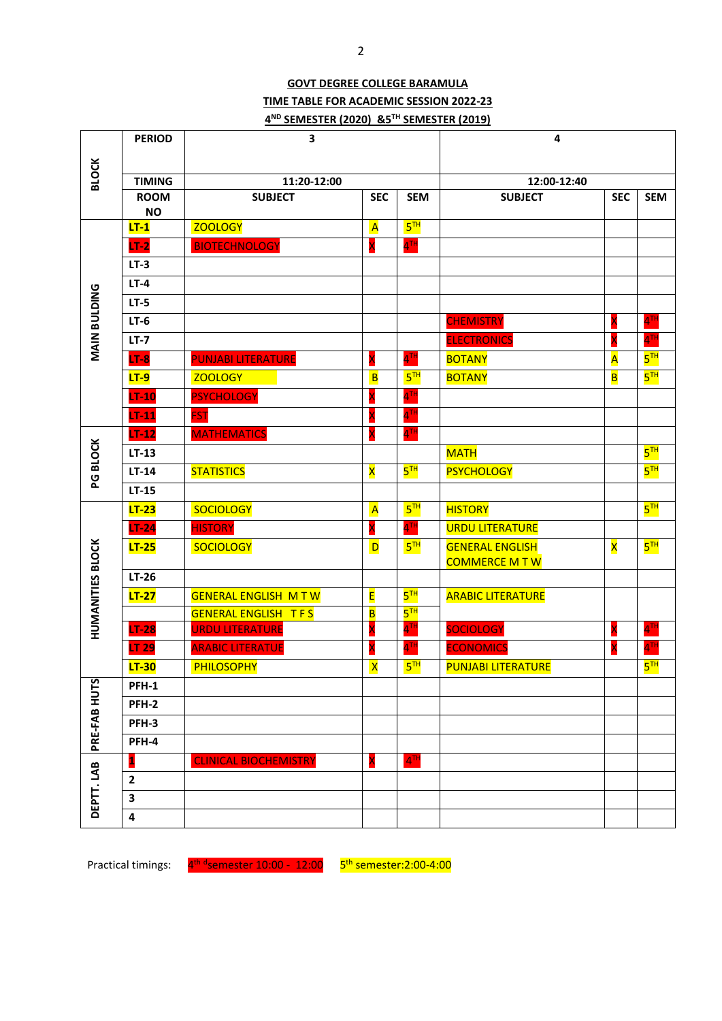## **GOVT DEGREE COLLEGE BARAMULA TIME TABLE FOR ACADEMIC SESSION 2022-23 4 ND SEMESTER (2020) &5 TH SEMESTER (2019)**

|                         | <b>PERIOD</b>  | 3                            |                          |                                | $\overline{\mathbf{4}}$                       |                                         |                   |  |
|-------------------------|----------------|------------------------------|--------------------------|--------------------------------|-----------------------------------------------|-----------------------------------------|-------------------|--|
| <b>BLOCK</b>            |                |                              |                          |                                |                                               |                                         |                   |  |
|                         | <b>TIMING</b>  | 11:20-12:00                  |                          |                                |                                               |                                         |                   |  |
|                         | <b>ROOM</b>    | <b>SUBJECT</b>               | <b>SEC</b><br><b>SEM</b> |                                | <b>SUBJECT</b>                                | 12:00-12:40<br><b>SEC</b><br><b>SEM</b> |                   |  |
|                         | <b>NO</b>      |                              |                          |                                |                                               |                                         |                   |  |
|                         | $LT-1$         | <b>ZOOLOGY</b>               | $\overline{A}$           | 5 <sup>TH</sup>                |                                               |                                         |                   |  |
|                         | $LT-2$         | <b>BIOTECHNOLOGY</b>         | X                        | 4 <sup>TH</sup>                |                                               |                                         |                   |  |
|                         | $LT-3$         |                              |                          |                                |                                               |                                         |                   |  |
|                         | $LT-4$         |                              |                          |                                |                                               |                                         |                   |  |
|                         | $LT-5$         |                              |                          |                                |                                               |                                         |                   |  |
| MAIN BULDING            | $LT-6$         |                              |                          |                                | <b>CHEMISTRY</b>                              | X                                       | $4^{TH}$          |  |
|                         | $LT-7$         |                              |                          |                                | <b>ELECTRONICS</b>                            |                                         | 4 <sup>TH</sup>   |  |
|                         | $LT-8$         | PUNJABI LITERATURE           | X                        | $4$ <sup>TH</sup>              | <b>BOTANY</b>                                 | A                                       | 5 <sup>TH</sup>   |  |
|                         | $LT-9$         | <b>ZOOLOGY</b>               | $\overline{B}$           | 5 <sup>TH</sup>                | <b>BOTANY</b>                                 | $\overline{\mathbf{B}}$                 | $5^{TH}$          |  |
|                         | $LT-10$        | <b>PSYCHOLOGY</b>            | X                        | $4^{TH}$                       |                                               |                                         |                   |  |
|                         | $LT-11$        | <b>FST</b>                   | X                        | $4$ <sup>TH</sup>              |                                               |                                         |                   |  |
|                         | $LT-12$        | <b>MATHEMATICS</b>           | X                        | $4^{\text{TH}}$                |                                               |                                         |                   |  |
|                         | $LT-13$        |                              |                          |                                | <b>MATH</b>                                   |                                         | 5 <sup>TH</sup>   |  |
| PG BLOCK                | $LT-14$        | <b>STATISTICS</b>            | $\overline{\mathsf{x}}$  | $5^{\overline{1}\overline{1}}$ | <b>PSYCHOLOGY</b>                             |                                         | 5 <sup>TH</sup>   |  |
|                         | $LT-15$        |                              |                          |                                |                                               |                                         |                   |  |
|                         | $LT-23$        | <b>SOCIOLOGY</b>             | $\overline{A}$           | 5 <sup>TH</sup>                | <b>HISTORY</b>                                |                                         | 5 <sup>TH</sup>   |  |
|                         | $LT-24$        | <b>HISTORY</b>               |                          | $4^{TH}$                       | <b>URDU LITERATURE</b>                        |                                         |                   |  |
| <b>HUMANITIES BLOCK</b> | $LT-25$        | <b>SOCIOLOGY</b>             | D                        | 5 <sup>TH</sup>                | <b>GENERAL ENGLISH</b><br><b>COMMERCE MTW</b> | X                                       | 5 <sup>TH</sup>   |  |
|                         | $LT-26$        |                              |                          |                                |                                               |                                         |                   |  |
|                         | $LT-27$        | <b>GENERAL ENGLISH MTW</b>   | E                        | 5 <sup>TH</sup>                | <b>ARABIC LITERATURE</b>                      |                                         |                   |  |
|                         |                | <b>GENERAL ENGLISH TFS</b>   | B                        | 5 <sup>TH</sup>                |                                               |                                         |                   |  |
|                         | $LT-28$        | <b>URDU LITERATURE</b>       | X                        | 4 <sup>TH</sup>                | <b>SOCIOLOGY</b>                              | X                                       | $4$ <sup>TH</sup> |  |
|                         | LT 29          | <b>ARABIC LITERATUE</b>      | X                        | $4^{\text{TH}}$                | <b>ECONOMICS</b>                              | X                                       | $4$ <sup>TH</sup> |  |
|                         | $LT-30$        | <b>PHILOSOPHY</b>            | $\overline{\mathsf{x}}$  | 5 <sup>TH</sup>                | <b>PUNJABI LITERATURE</b>                     |                                         | 5 <sup>TH</sup>   |  |
|                         | PFH-1          |                              |                          |                                |                                               |                                         |                   |  |
|                         | <b>PFH-2</b>   |                              |                          |                                |                                               |                                         |                   |  |
|                         | PFH-3          |                              |                          |                                |                                               |                                         |                   |  |
| PRE-FAB HUTS            | PFH-4          |                              |                          |                                |                                               |                                         |                   |  |
|                         | 1              | <b>CLINICAL BIOCHEMISTRY</b> | X                        | 4 <sup>TH</sup>                |                                               |                                         |                   |  |
| DEPTT.LAB               | $\overline{2}$ |                              |                          |                                |                                               |                                         |                   |  |
|                         | 3              |                              |                          |                                |                                               |                                         |                   |  |
|                         | 4              |                              |                          |                                |                                               |                                         |                   |  |

Practical timings: 4<sup>th d</sup>semester 10:00 - 12:00 5<sup>th</sup> semester:2:00-4:00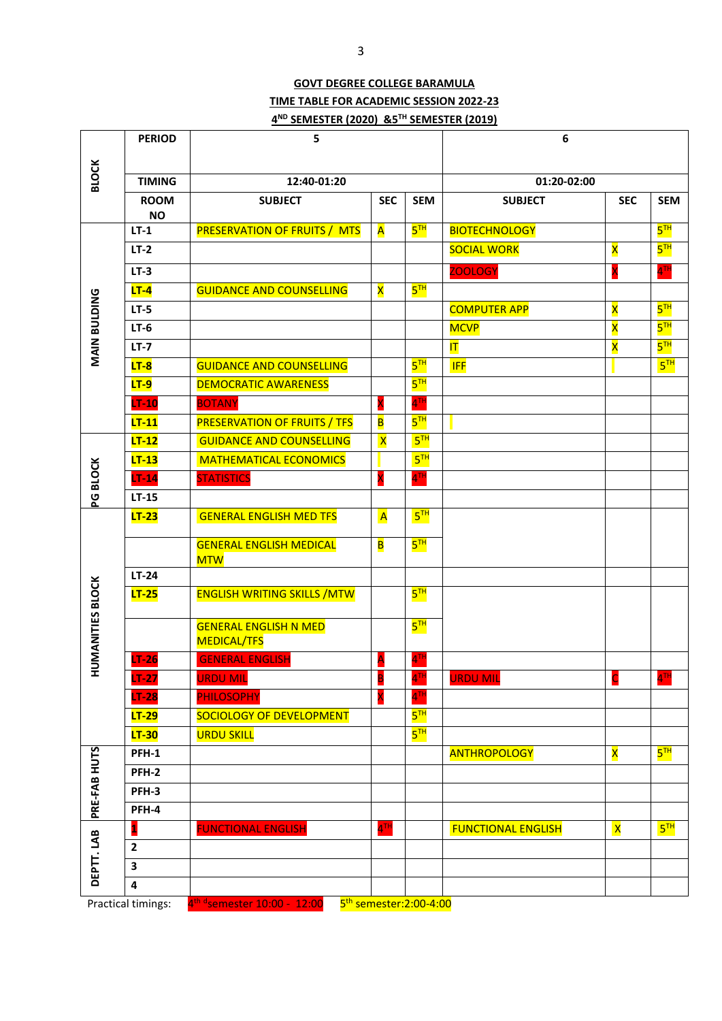### **GOVT DEGREE COLLEGE BARAMULA TIME TABLE FOR ACADEMIC SESSION 2022-23 4 ND SEMESTER (2020) &5 TH SEMESTER (2019)**

|                         | <b>PERIOD</b>            | 5                                                  |                         |                                    | 6                         |                         |                   |
|-------------------------|--------------------------|----------------------------------------------------|-------------------------|------------------------------------|---------------------------|-------------------------|-------------------|
|                         |                          |                                                    |                         |                                    |                           |                         |                   |
| <b>BLOCK</b>            | <b>TIMING</b>            | 12:40-01:20                                        |                         |                                    | 01:20-02:00               |                         |                   |
|                         | <b>ROOM</b><br><b>NO</b> | <b>SUBJECT</b>                                     | <b>SEC</b>              | <b>SEM</b>                         | <b>SUBJECT</b>            | <b>SEC</b>              | <b>SEM</b>        |
|                         | $LT-1$                   | <b>PRESERVATION OF FRUITS / MTS</b>                | A                       | 5 <sup>TH</sup>                    | <b>BIOTECHNOLOGY</b>      |                         | 5 <sup>TH</sup>   |
|                         | $LT-2$                   |                                                    |                         |                                    | <b>SOCIAL WORK</b>        | $\overline{\mathsf{x}}$ | $5^{\text{TH}}$   |
|                         | $LT-3$                   |                                                    |                         |                                    | <b>ZOOLOGY</b>            | X                       | $4$ <sup>TH</sup> |
|                         | $LT-4$                   | <b>GUIDANCE AND COUNSELLING</b>                    | X                       | 5 <sup>TH</sup>                    |                           |                         |                   |
|                         | $LT-5$                   |                                                    |                         |                                    | <b>COMPUTER APP</b>       | $\overline{\mathbf{x}}$ | 5 <sup>TH</sup>   |
| MAIN BULDING            | $LT-6$                   |                                                    |                         |                                    | <b>MCVP</b>               | $\overline{\mathsf{x}}$ | 5 <sup>TH</sup>   |
|                         | $LT-7$                   |                                                    |                         |                                    | $ \mathsf{T} $            | $\overline{\mathbf{x}}$ | 5 <sup>TH</sup>   |
|                         | $LT-8$                   | <b>GUIDANCE AND COUNSELLING</b>                    |                         | 5 <sup>TH</sup>                    | <b>IFF</b>                |                         | 5 <sup>TH</sup>   |
|                         | <b>LT-9</b>              | <b>DEMOCRATIC AWARENESS</b>                        |                         | $5^{TH}$                           |                           |                         |                   |
|                         | $LT-10$                  | <b>BOTANY</b>                                      | X                       | $4$ <sup>TH</sup>                  |                           |                         |                   |
|                         | $LT-11$                  | <b>PRESERVATION OF FRUITS / TFS</b>                | B                       | 5 <sup>TH</sup>                    |                           |                         |                   |
|                         | $LT-12$                  | <b>GUIDANCE AND COUNSELLING</b>                    | $\overline{\mathsf{x}}$ | 5 <sup>TH</sup>                    |                           |                         |                   |
|                         | $LT-13$                  | <b>MATHEMATICAL ECONOMICS</b>                      |                         | 5 <sup>TH</sup>                    |                           |                         |                   |
| PG BLOCK                | $LT-14$                  | <b>STATISTICS</b>                                  |                         | $4^{\mathsf{TH}}$                  |                           |                         |                   |
|                         | $LT-15$                  |                                                    |                         |                                    |                           |                         |                   |
|                         | $LT-23$                  | <b>GENERAL ENGLISH MED TFS</b>                     | $\overline{A}$          | 5 <sup>TH</sup>                    |                           |                         |                   |
|                         |                          | <b>GENERAL ENGLISH MEDICAL</b><br><b>MTW</b>       | B                       | 5 <sup>TH</sup>                    |                           |                         |                   |
|                         | $LT-24$                  |                                                    |                         |                                    |                           |                         |                   |
|                         | $LT-25$                  | <b>ENGLISH WRITING SKILLS / MTW</b>                |                         | 5 <sup>TH</sup>                    |                           |                         |                   |
| <b>HUMANITIES BLOCK</b> |                          | <b>GENERAL ENGLISH N MED</b><br><b>MEDICAL/TFS</b> |                         | 5 <sup>TH</sup>                    |                           |                         |                   |
|                         | $LT-26$                  | <b>GENERAL ENGLISH</b>                             | A                       | $4$ <sup>TH</sup>                  |                           |                         |                   |
|                         | $LT-27$                  | <b>URDU MIL</b>                                    | B                       | $4^{TH}$                           | <b>URDU MIL</b>           | $\mathsf{C}$            | 4 <sup>TH</sup>   |
|                         | $LT-28$                  | <b>PHILOSOPHY</b>                                  |                         | $4$ <sup>TH</sup>                  |                           |                         |                   |
|                         | $LT-29$                  | SOCIOLOGY OF DEVELOPMENT                           |                         | 5 <sup>TH</sup>                    |                           |                         |                   |
|                         | $LT-30$                  | <b>URDU SKILL</b>                                  |                         | 5 <sup>TH</sup>                    |                           |                         |                   |
|                         | PFH-1                    |                                                    |                         |                                    | <b>ANTHROPOLOGY</b>       | $\overline{\mathbf{x}}$ | 5 <sup>TH</sup>   |
|                         | PFH-2                    |                                                    |                         |                                    |                           |                         |                   |
| PRE-FAB HUTS            | PFH-3                    |                                                    |                         |                                    |                           |                         |                   |
|                         | PFH-4                    |                                                    |                         |                                    |                           |                         |                   |
|                         |                          | <b>FUNCTIONAL ENGLISH</b>                          | $4^{\text{TH}}$         |                                    | <b>FUNCTIONAL ENGLISH</b> | $\mathsf{X}% _{0}$      | 5 <sup>TH</sup>   |
|                         | $\overline{2}$           |                                                    |                         |                                    |                           |                         |                   |
| DEPTT.LAB               | $\overline{\mathbf{3}}$  |                                                    |                         |                                    |                           |                         |                   |
|                         | 4                        |                                                    |                         |                                    |                           |                         |                   |
|                         | Practical timings:       | 4 <sup>th d</sup> semester 10:00 - 12:00           |                         | 5 <sup>th</sup> semester:2:00-4:00 |                           |                         |                   |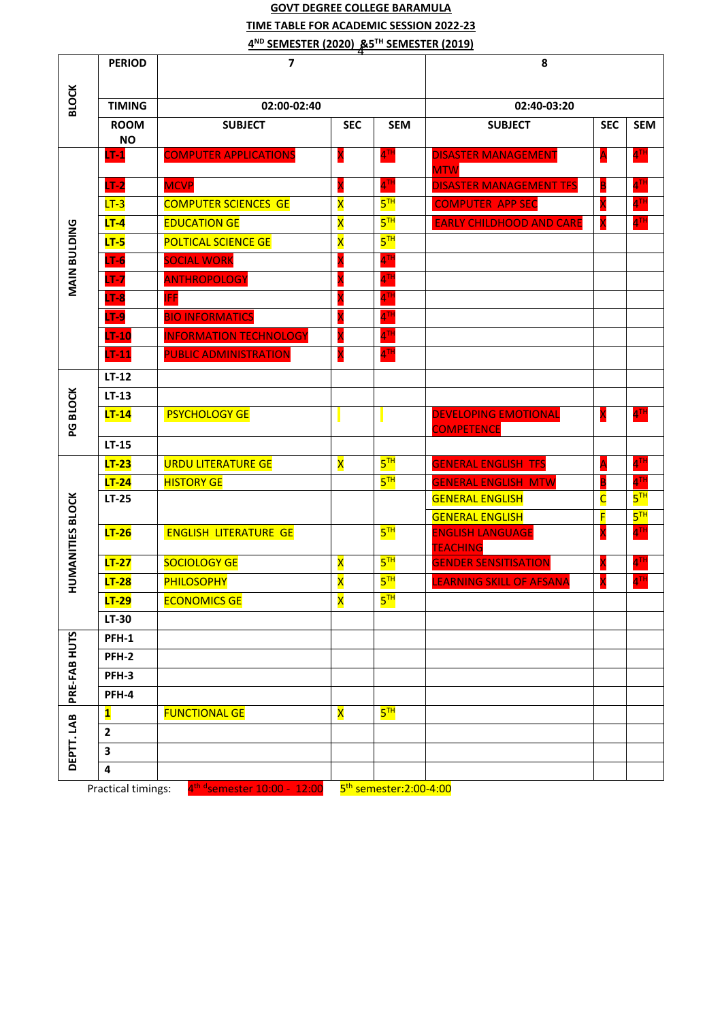# 4 **4 ND SEMESTER (2020) &5 TH SEMESTER (2019) GOVT DEGREE COLLEGE BARAMULA TIME TABLE FOR ACADEMIC SESSION 2022-23**

|                         | <b>PERIOD</b>      | 4<br>$\overline{ }$                      |                         |                                    | 8                                                 |                         |                                    |  |
|-------------------------|--------------------|------------------------------------------|-------------------------|------------------------------------|---------------------------------------------------|-------------------------|------------------------------------|--|
|                         |                    |                                          |                         |                                    |                                                   |                         |                                    |  |
| <b>BLOCK</b>            | <b>TIMING</b>      | 02:00-02:40                              | 02:40-03:20             |                                    |                                                   |                         |                                    |  |
|                         | <b>ROOM</b>        | <b>SUBJECT</b>                           | <b>SEC</b>              | <b>SEM</b>                         | <b>SUBJECT</b>                                    | <b>SEC</b>              | <b>SEM</b>                         |  |
|                         | <b>NO</b>          |                                          |                         |                                    |                                                   |                         |                                    |  |
|                         | $LT-1$             | <b>COMPUTER APPLICATIONS</b>             | X                       | $4^{\text{TH}}$                    | <b>DISASTER MANAGEMENT</b><br><b>MTW</b>          | A                       | $4$ <sup>TH</sup>                  |  |
|                         | $LT-2$             | <b>MCVP</b>                              | X                       | $4$ <sup>TH</sup>                  | <b>DISASTER MANAGEMENT TFS</b>                    | B                       | 4 <sup>TH</sup>                    |  |
|                         | $LT-3$             | <b>COMPUTER SCIENCES GE</b>              | $\overline{\mathbf{x}}$ | 5 <sup>TH</sup>                    | <b>COMPUTER APP SEC</b>                           | X                       | 4 <sup>TH</sup>                    |  |
|                         | $LT-4$             | <b>EDUCATION GE</b>                      | X                       | 5 <sup>TH</sup>                    | <b>EARLY CHILDHOOD AND CARE</b>                   | X                       | $4$ <sup>TH</sup>                  |  |
|                         | $LT-5$             | <b>POLTICAL SCIENCE GE</b>               | $\overline{\mathsf{x}}$ | $5^{\overline{1}\overline{1}}$     |                                                   |                         |                                    |  |
| MAIN BULDING            | $LT-6$             | <b>SOCIAL WORK</b>                       |                         | $4$ <sup>TH</sup>                  |                                                   |                         |                                    |  |
|                         | $LT-7$             | <b>ANTHROPOLOGY</b>                      | X                       | $4^{TH}$                           |                                                   |                         |                                    |  |
|                         | $LT-8$             | <b>IFF</b>                               |                         | $4^{\text{th}}$                    |                                                   |                         |                                    |  |
|                         | $LT-9$             | <b>BIO INFORMATICS</b>                   |                         | $4$ <sup>TH</sup>                  |                                                   |                         |                                    |  |
|                         | $LT-10$            | <b>INFORMATION TECHNOLOGY</b>            |                         | $4^{\text{Th}}$                    |                                                   |                         |                                    |  |
|                         | $LT-11$            | <b>PUBLIC ADMINISTRATION</b>             | X                       | 4 <sup>TH</sup>                    |                                                   |                         |                                    |  |
|                         | $LT-12$            |                                          |                         |                                    |                                                   |                         |                                    |  |
|                         | $LT-13$            |                                          |                         |                                    |                                                   |                         |                                    |  |
|                         | $LT-14$            | <b>PSYCHOLOGY GE</b>                     |                         |                                    | <b>DEVELOPING EMOTIONAL</b>                       | X                       | $4$ <sup>TH</sup>                  |  |
| PG BLOCK                |                    |                                          |                         |                                    | <b>COMPETENCE</b>                                 |                         |                                    |  |
|                         | $LT-15$            |                                          |                         |                                    |                                                   |                         |                                    |  |
|                         | $LT-23$            | <b>URDU LITERATURE GE</b>                | $\overline{\mathsf{x}}$ | $5^{TH}$                           | <b>GENERAL ENGLISH TFS</b>                        | Α                       | 4 <sup>TH</sup>                    |  |
|                         | $LT-24$            | <b>HISTORY GE</b>                        |                         | 5 <sup>TH</sup>                    | <b>GENERAL ENGLISH MTW</b>                        | B                       | 4 <sup>TH</sup>                    |  |
| <b>HUMANITIES BLOCK</b> | $LT-25$            |                                          |                         |                                    | <b>GENERAL ENGLISH</b>                            | $\overline{\mathsf{C}}$ | $5^{\text{TH}}$                    |  |
|                         | $LT-26$            | <b>ENGLISH LITERATURE GE</b>             |                         | $5^{\text{th}}$                    | <b>GENERAL ENGLISH</b><br><b>ENGLISH LANGUAGE</b> | F<br>X                  | 5 <sup>TH</sup><br>4 <sup>TH</sup> |  |
|                         |                    |                                          |                         |                                    | <b>TEACHING</b>                                   |                         |                                    |  |
|                         | $LT-27$            | <b>SOCIOLOGY GE</b>                      | X                       | 5 <sup>TH</sup>                    | <b>GENDER SENSITISATION</b>                       | X                       | 4 <sup>TH</sup>                    |  |
|                         | $LT-28$            | <b>PHILOSOPHY</b>                        | $\overline{\mathsf{x}}$ | 5 <sup>TH</sup>                    | <b>LEARNING SKILL OF AFSANA</b>                   | X                       | 4 <sup>TH</sup>                    |  |
|                         | $LT-29$            | <b>ECONOMICS GE</b>                      | $\overline{\mathsf{x}}$ | $5^{\text{TH}}$                    |                                                   |                         |                                    |  |
|                         | LT-30              |                                          |                         |                                    |                                                   |                         |                                    |  |
|                         | PFH-1              |                                          |                         |                                    |                                                   |                         |                                    |  |
|                         | PFH-2              |                                          |                         |                                    |                                                   |                         |                                    |  |
|                         | PFH-3              |                                          |                         |                                    |                                                   |                         |                                    |  |
| PRE-FAB HUTS            | PFH-4              |                                          |                         |                                    |                                                   |                         |                                    |  |
|                         | $\mathbf{1}$       | <b>FUNCTIONAL GE</b>                     | $\overline{\mathsf{x}}$ | 5 <sup>TH</sup>                    |                                                   |                         |                                    |  |
|                         | $\mathbf{2}$       |                                          |                         |                                    |                                                   |                         |                                    |  |
| DEPTT.LAB               | 3                  |                                          |                         |                                    |                                                   |                         |                                    |  |
|                         | 4                  |                                          |                         |                                    |                                                   |                         |                                    |  |
|                         | Practical timings: | 4 <sup>th d</sup> semester 10:00 - 12:00 |                         | 5 <sup>th</sup> semester:2:00-4:00 |                                                   |                         |                                    |  |

Practical timings: 4

<u>ester:2:00-4:00</u>